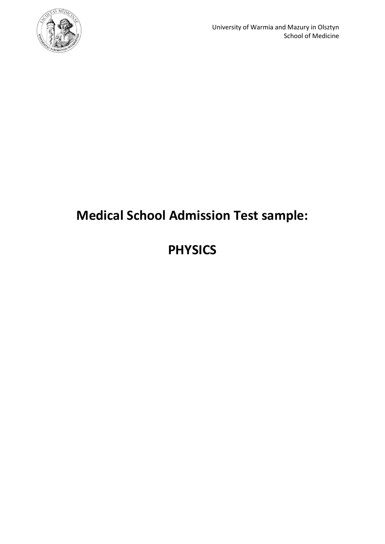

# **Medical School Admission Test sample:**

# **PHYSICS**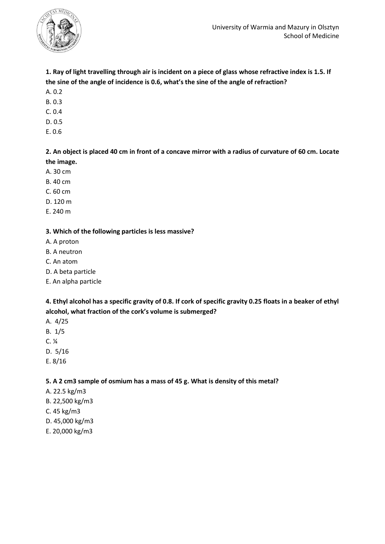

# **1. Ray of light travelling through air is incident on a piece of glass whose refractive index is 1.5. If the sine of the angle of incidence is 0.6, what's the sine of the angle of refraction?**

- A. 0.2
- B. 0.3
- C. 0.4
- D. 0.5
- E. 0.6

## **2. An object is placed 40 cm in front of a concave mirror with a radius of curvature of 60 cm. Locate the image.**

- A. 30 cm
- B. 40 cm
- C. 60 cm
- D. 120 m
- E. 240 m

## **3. Which of the following particles is less massive?**

- A. A proton
- B. A neutron
- C. An atom
- D. A beta particle
- E. An alpha particle

# **4. Ethyl alcohol has a specific gravity of 0.8. If cork of specific gravity 0.25 floats in a beaker of ethyl alcohol, what fraction of the cork's volume is submerged?**

- A. 4/25
- B. 1/5
- C. ¼
- D. 5/16
- E. 8/16

#### **5. A 2 cm3 sample of osmium has a mass of 45 g. What is density of this metal?**

- A. 22.5 kg/m3
- B. 22,500 kg/m3
- C. 45 kg/m3
- D. 45,000 kg/m3
- E. 20,000 kg/m3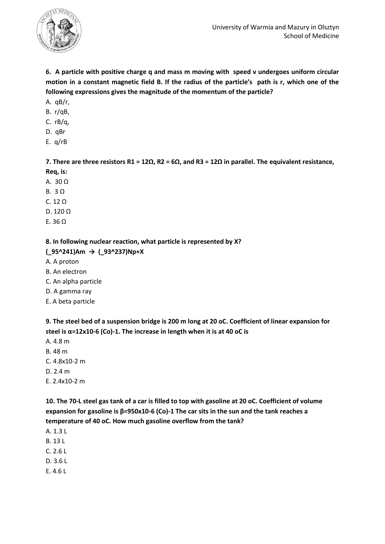

**6. A particle with positive charge q and mass m moving with speed v undergoes uniform circular motion in a constant magnetic field B. If the radius of the particle's path is r, which one of the following expressions gives the magnitude of the momentum of the particle?**

- A. qB/r,
- B. r/qB,
- C. rB/q,
- D. qBr
- E. q/rB

**7. There are three resistors R1 = 12Ω, R2 = 6Ω, and R3 = 12Ω in parallel. The equivalent resistance, Req, is:**

- A. 30 Ω
- B. 3 Ω
- C. 12 Ω
- D. 120 Ω
- E. 36 Ω

**8. In following nuclear reaction, what particle is represented by X?**

#### **(\_95^241)Am → (\_93^237)Np+X**

- A. A proton
- B. An electron
- C. An alpha particle
- D. A gamma ray
- E. A beta particle

**9. The steel bed of a suspension bridge is 200 m long at 20 oC. Coefficient of linear expansion for steel is α=12x10-6 (Co)-1. The increase in length when it is at 40 oC is** 

- A. 4.8 m
- B. 48 m
- C. 4.8x10-2 m
- D. 2.4 m
- E. 2.4x10-2 m

**10. The 70-L steel gas tank of a car is filled to top with gasoline at 20 oC. Coefficient of volume expansion for gasoline is β=950x10-6 (Co)-1 The car sits in the sun and the tank reaches a temperature of 40 oC. How much gasoline overflow from the tank?**

- A. 1.3 L
- B. 13 L
- C. 2.6 L
- D. 3.6 L
- E. 4.6 L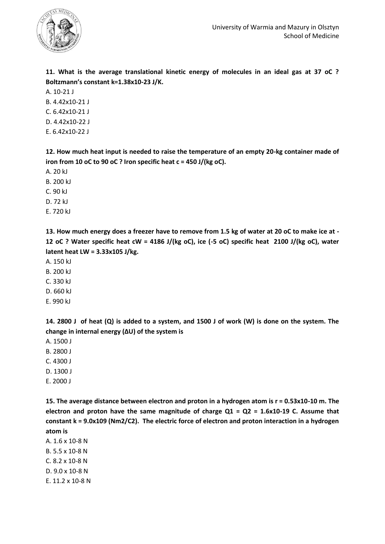

**11. What is the average translational kinetic energy of molecules in an ideal gas at 37 oC ? Boltzmann's constant k=1.38x10-23 J/K.**

A. 10-21 J

- B. 4.42x10-21 J
- C. 6.42x10-21 J
- D. 4.42x10-22 J
- E. 6.42x10-22 J

**12. How much heat input is needed to raise the temperature of an empty 20-kg container made of iron from 10 oC to 90 oC ? Iron specific heat c = 450 J/(kg oC).**

- A. 20 kJ
- B. 200 kJ
- C. 90 kJ
- D. 72 kJ
- E. 720 kJ

**13. How much energy does a freezer have to remove from 1.5 kg of water at 20 oC to make ice at - 12 oC ? Water specific heat cW = 4186 J/(kg oC), ice (-5 oC) specific heat 2100 J/(kg oC), water latent heat LW = 3.33x105 J/kg.**

- A. 150 kJ
- B. 200 kJ
- C. 330 kJ
- D. 660 kJ
- E. 990 kJ

**14. 2800 J of heat (Q) is added to a system, and 1500 J of work (W) is done on the system. The change in internal energy (ΔU) of the system is**

- A. 1500 J
- B. 2800 J
- C. 4300 J
- D. 1300 J
- E. 2000 J

**15. The average distance between electron and proton in a hydrogen atom is r = 0.53x10-10 m. The electron and proton have the same magnitude of charge Q1 = Q2 = 1.6x10-19 C. Assume that constant k = 9.0x109 (Nm2/C2). The electric force of electron and proton interaction in a hydrogen atom is**

A. 1.6 x 10-8 N B. 5.5 x 10-8 N C. 8.2 x 10-8 N D. 9.0 x 10-8 N E. 11.2 x 10-8 N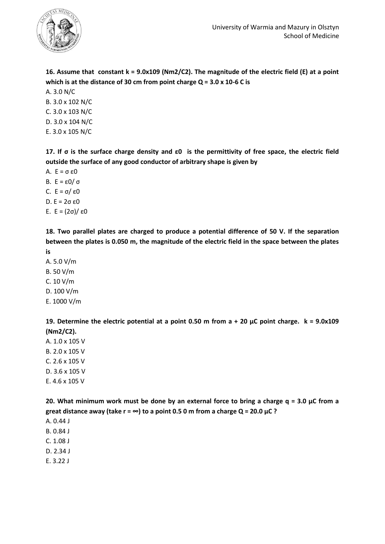

**16. Assume that constant k = 9.0x109 (Nm2/C2). The magnitude of the electric field (E) at a point which is at the distance of 30 cm from point charge Q = 3.0 x 10-6 C is** 

A. 3.0 N/C

- B. 3.0 x 102 N/C
- C. 3.0 x 103 N/C
- D. 3.0 x 104 N/C
- E. 3.0 x 105 N/C

**17. If σ is the surface charge density and ε0 is the permittivity of free space, the electric field outside the surface of any good conductor of arbitrary shape is given by**

- A. E = σ ε0
- B. E = ε0/ σ
- C. E = σ/ ε0
- D. E = 2σ ε0
- E. E = (2σ)/ ε0

**18. Two parallel plates are charged to produce a potential difference of 50 V. If the separation between the plates is 0.050 m, the magnitude of the electric field in the space between the plates** 

**is**

- A. 5.0 V/m
- B. 50 V/m
- C. 10 V/m
- D. 100 V/m
- E. 1000 V/m

**19. Determine the electric potential at a point 0.50 m from a + 20 μC point charge. k = 9.0x109 (Nm2/C2).**

- A. 1.0 x 105 V B. 2.0 x 105 V
- C. 2.6 x 105 V
- D. 3.6 x 105 V
- E. 4.6 x 105 V

**20. What minimum work must be done by an external force to bring a charge q = 3.0 μC from a great distance away (take r = ∞) to a point 0.5 0 m from a charge Q = 20.0 μC ?**

- A. 0.44 J
- B. 0.84 J
- C. 1.08 J
- D. 2.34 J
- E. 3.22 J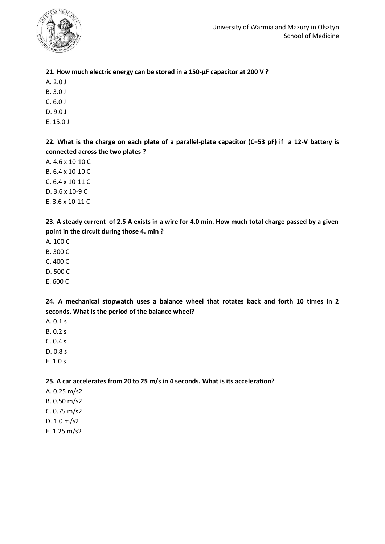

## **21. How much electric energy can be stored in a 150-μF capacitor at 200 V ?**

- A. 2.0 J
- B. 3.0 J
- C. 6.0 J
- D. 9.0 J
- E. 15.0 J

**22. What is the charge on each plate of a parallel-plate capacitor (C=53 pF) if a 12-V battery is connected across the two plates ?**

- A. 4.6 x 10-10 C
- B. 6.4 x 10-10 C
- C. 6.4 x 10-11 C
- D. 3.6 x 10-9 C
- E. 3.6 x 10-11 C

**23. A steady current of 2.5 A exists in a wire for 4.0 min. How much total charge passed by a given point in the circuit during those 4. min ?**

- A. 100 C
- B. 300 C
- C. 400 C
- D. 500 C
- E. 600 C

**24. A mechanical stopwatch uses a balance wheel that rotates back and forth 10 times in 2 seconds. What is the period of the balance wheel?**

- A. 0.1 s
- B. 0.2 s
- C. 0.4 s
- D. 0.8 s
- E. 1.0 s

**25. A car accelerates from 20 to 25 m/s in 4 seconds. What is its acceleration?**

- A. 0.25 m/s2
- B. 0.50 m/s2
- C. 0.75 m/s2
- D. 1.0 m/s2
- E. 1.25 m/s2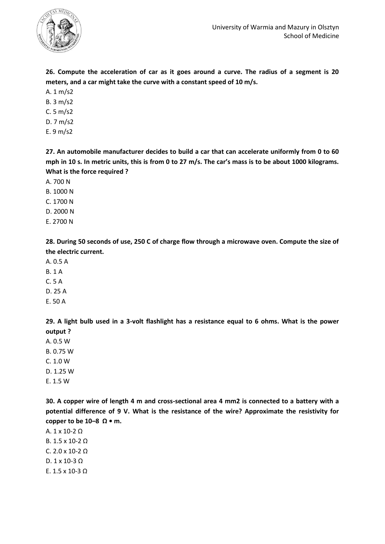

**26. Compute the acceleration of car as it goes around a curve. The radius of a segment is 20 meters, and a car might take the curve with a constant speed of 10 m/s.** 

- A. 1 m/s2
- B. 3 m/s2
- C. 5 m/s2
- D. 7 m/s2
- E. 9 m/s2

**27. An automobile manufacturer decides to build a car that can accelerate uniformly from 0 to 60 mph in 10 s. In metric units, this is from 0 to 27 m/s. The car's mass is to be about 1000 kilograms. What is the force required ?**

- A. 700 N
- B. 1000 N
- C. 1700 N
- D. 2000 N
- E. 2700 N

**28. During 50 seconds of use, 250 C of charge flow through a microwave oven. Compute the size of the electric current.**

- A. 0.5 A
- B. 1 A
- C. 5 A
- D. 25 A
- E. 50 A

**29. A light bulb used in a 3-volt flashlight has a resistance equal to 6 ohms. What is the power output ?**

- A. 0.5 W
- B. 0.75 W
- C. 1.0 W
- D. 1.25 W
- E. 1.5 W

**30. A copper wire of length 4 m and cross-sectional area 4 mm2 is connected to a battery with a potential difference of 9 V. What is the resistance of the wire? Approximate the resistivity for copper to be 10–8 Ω • m.**

A. 1 x 10-2 Ω B. 1.5 x 10-2 Ω C. 2.0 x 10-2 Ω

- D. 1 x 10-3 Ω
- E. 1.5 x 10-3 Ω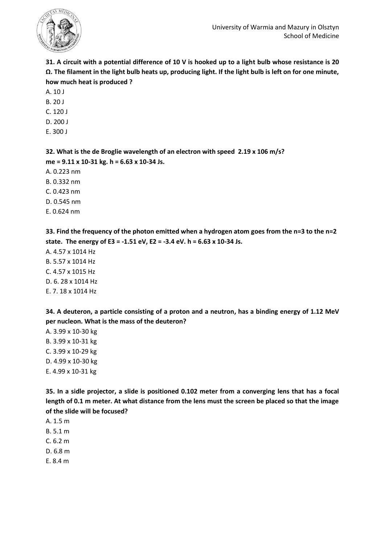

**31. A circuit with a potential difference of 10 V is hooked up to a light bulb whose resistance is 20 Ω. The filament in the light bulb heats up, producing light. If the light bulb is left on for one minute, how much heat is produced ?**

- A. 10 J
- B. 20 J
- C. 120 J
- D. 200 J
- E. 300 J

**32. What is the de Broglie wavelength of an electron with speed 2.19 x 106 m/s? me = 9.11 x 10-31 kg. h = 6.63 x 10-34 Js.** A. 0.223 nm B. 0.332 nm C. 0.423 nm D. 0.545 nm

E. 0.624 nm

**33. Find the frequency of the photon emitted when a hydrogen atom goes from the n=3 to the n=2 state. The energy of E3 = -1.51 eV, E2 = -3.4 eV. h = 6.63 x 10-34 Js.**

A. 4.57 x 1014 Hz B. 5.57 x 1014 Hz C. 4.57 x 1015 Hz D. 6. 28 x 1014 Hz E. 7. 18 x 1014 Hz

**34. A deuteron, a particle consisting of a proton and a neutron, has a binding energy of 1.12 MeV per nucleon. What is the mass of the deuteron?**

A. 3.99 x 10-30 kg B. 3.99 x 10-31 kg C. 3.99 x 10-29 kg D. 4.99 x 10-30 kg E. 4.99 x 10-31 kg

**35. In a sidle projector, a slide is positioned 0.102 meter from a converging lens that has a focal length of 0.1 m meter. At what distance from the lens must the screen be placed so that the image of the slide will be focused?**

- A. 1.5 m
- B. 5.1 m
- C. 6.2 m
- D. 6.8 m
- E. 8.4 m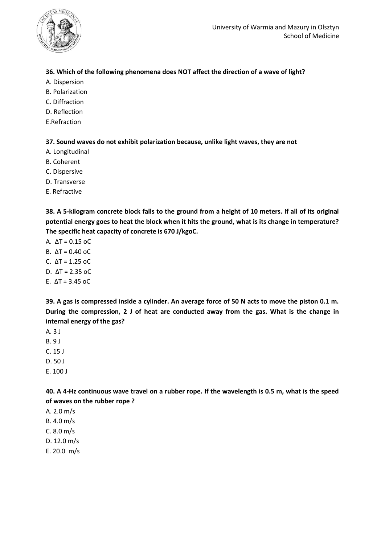

## **36. Which of the following phenomena does NOT affect the direction of a wave of light?**

- A. Dispersion
- B. Polarization
- C. Diffraction
- D. Reflection
- E.Refraction

**37. Sound waves do not exhibit polarization because, unlike light waves, they are not**

- A. Longitudinal
- B. Coherent
- C. Dispersive
- D. Transverse
- E. Refractive

**38. A 5-kilogram concrete block falls to the ground from a height of 10 meters. If all of its original potential energy goes to heat the block when it hits the ground, what is its change in temperature? The specific heat capacity of concrete is 670 J/kgoC.**

- A. ΔT = 0.15 oC
- B.  $ΔT = 0.40$  oC
- C. ΔT = 1.25 oC
- D. ΔT = 2.35 oC
- E.  $\Delta T = 3.45$  oC

**39. A gas is compressed inside a cylinder. An average force of 50 N acts to move the piston 0.1 m. During the compression, 2 J of heat are conducted away from the gas. What is the change in internal energy of the gas?**

- A. 3 J
- B. 9 J
- C. 15 J
- D. 50 J
- E. 100 J

**40. A 4-Hz continuous wave travel on a rubber rope. If the wavelength is 0.5 m, what is the speed of waves on the rubber rope ?**

- A. 2.0 m/s
- B. 4.0 m/s
- C. 8.0 m/s
- D. 12.0 m/s
- E. 20.0 m/s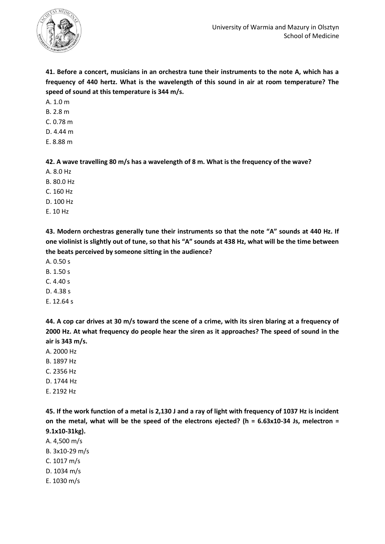

**41. Before a concert, musicians in an orchestra tune their instruments to the note A, which has a frequency of 440 hertz. What is the wavelength of this sound in air at room temperature? The speed of sound at this temperature is 344 m/s.**

A. 1.0 m

- B. 2.8 m
- C. 0.78 m
- D. 4.44 m
- E. 8.88 m

**42. A wave travelling 80 m/s has a wavelength of 8 m. What is the frequency of the wave?**

- A. 8.0 Hz
- B. 80.0 Hz
- C. 160 Hz
- D. 100 Hz
- E. 10 Hz

**43. Modern orchestras generally tune their instruments so that the note "A" sounds at 440 Hz. If one violinist is slightly out of tune, so that his "A" sounds at 438 Hz, what will be the time between the beats perceived by someone sitting in the audience?**

- A. 0.50 s
- B. 1.50 s
- $C. 4.40 s$
- D. 4.38 s
- E. 12.64 s

**44. A cop car drives at 30 m/s toward the scene of a crime, with its siren blaring at a frequency of 2000 Hz. At what frequency do people hear the siren as it approaches? The speed of sound in the air is 343 m/s.**

- A. 2000 Hz
- B. 1897 Hz
- C. 2356 Hz
- D. 1744 Hz
- E. 2192 Hz

**45. If the work function of a metal is 2,130 J and a ray of light with frequency of 1037 Hz is incident on the metal, what will be the speed of the electrons ejected? (h = 6.63x10-34 Js, melectron = 9.1x10-31kg).**

- A. 4,500 m/s
- B. 3x10-29 m/s
- C. 1017 m/s
- D. 1034 m/s
- E. 1030 m/s